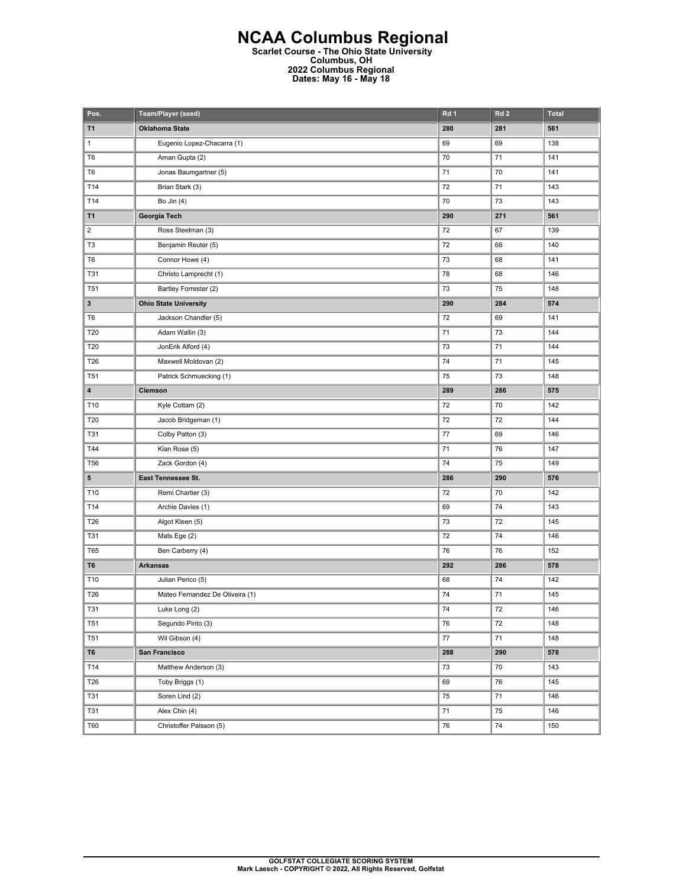## **NCAA Columbus Regional Scarlet Course - The Ohio State University Columbus, OH 2022 Columbus Regional Dates: May 16 - May 18**

| Pos.                    | Team/Player (seed)              | Rd 1 | Rd <sub>2</sub> | <b>Total</b> |
|-------------------------|---------------------------------|------|-----------------|--------------|
| T1                      | <b>Oklahoma State</b>           | 280  | 281             | 561          |
| $\mathbf{1}$            | Eugenio Lopez-Chacarra (1)      | 69   | 69              | 138          |
| T <sub>6</sub>          | Aman Gupta (2)                  | 70   | 71              | 141          |
| T <sub>6</sub>          | Jonas Baumgartner (5)           | 71   | 70              | 141          |
| T14                     | Brian Stark (3)                 | 72   | 71              | 143          |
| T14                     | Bo Jin (4)                      | 70   | 73              | 143          |
| <b>T1</b>               | Georgia Tech                    | 290  | 271             | 561          |
| $\overline{2}$          | Ross Steelman (3)               | 72   | 67              | 139          |
| T <sub>3</sub>          | Benjamin Reuter (5)             | 72   | 68              | 140          |
| T <sub>6</sub>          | Connor Howe (4)                 | 73   | 68              | 141          |
| <b>T31</b>              | Christo Lamprecht (1)           | 78   | 68              | 146          |
| T <sub>51</sub>         | Bartley Forrester (2)           | 73   | 75              | 148          |
| $\mathbf{3}$            | <b>Ohio State University</b>    | 290  | 284             | 574          |
| T <sub>6</sub>          | Jackson Chandler (5)            | 72   | 69              | 141          |
| T20                     | Adam Wallin (3)                 | 71   | 73              | 144          |
| T20                     | JonErik Alford (4)              | 73   | 71              | 144          |
| T26                     | Maxwell Moldovan (2)            | 74   | 71              | 145          |
| T <sub>51</sub>         | Patrick Schmuecking (1)         | 75   | 73              | 148          |
| $\overline{\mathbf{4}}$ | Clemson                         | 289  | 286             | 575          |
| T10                     | Kyle Cottam (2)                 | 72   | 70              | 142          |
| T20                     | Jacob Bridgeman (1)             | 72   | 72              | 144          |
| <b>T31</b>              | Colby Patton (3)                | 77   | 69              | 146          |
| T44                     | Kian Rose (5)                   | 71   | 76              | 147          |
| <b>T56</b>              | Zack Gordon (4)                 | 74   | 75              | 149          |
| 5                       | East Tennessee St.              | 286  | 290             | 576          |
| T10                     | Remi Chartier (3)               | 72   | 70              | 142          |
| T14                     | Archie Davies (1)               | 69   | 74              | 143          |
| T26                     | Algot Kleen (5)                 | 73   | 72              | 145          |
| <b>T31</b>              | Mats Ege (2)                    | 72   | 74              | 146          |
| T65                     | Ben Carberry (4)                | 76   | 76              | 152          |
| T6                      | <b>Arkansas</b>                 | 292  | 286             | 578          |
| T10                     | Julian Perico (5)               | 68   | 74              | 142          |
| T26                     | Mateo Fernandez De Oliveira (1) | 74   | 71              | 145          |
| T31                     | Luke Long (2)                   | 74   | 72              | 146          |
| <b>T51</b>              | Segundo Pinto (3)               | 76   | 72              | 148          |
| <b>T51</b>              | Wil Gibson (4)                  | 77   | 71              | 148          |
| T <sub>6</sub>          | San Francisco                   | 288  | 290             | 578          |
| T14                     | Matthew Anderson (3)            | 73   | 70              | 143          |
| T26                     | Toby Briggs (1)                 | 69   | 76              | 145          |
| <b>T31</b>              | Soren Lind (2)                  | 75   | 71              | 146          |
| <b>T31</b>              | Alex Chin (4)                   | 71   | 75              | 146          |
| T60                     | Christoffer Palsson (5)         | 76   | ${\bf 74}$      | 150          |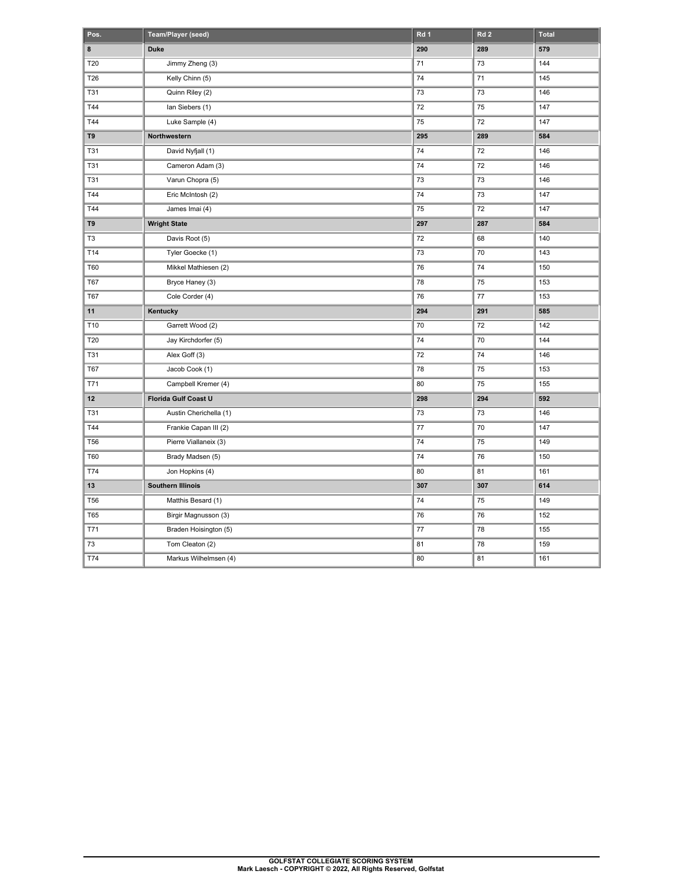| Pos.       | Team/Player (seed)       | Rd 1 | Rd <sub>2</sub> | <b>Total</b> |
|------------|--------------------------|------|-----------------|--------------|
| 8          | <b>Duke</b>              | 290  | 289             | 579          |
| T20        | Jimmy Zheng (3)          | 71   | 73              | 144          |
| T26        | Kelly Chinn (5)          | 74   | 71              | 145          |
| <b>T31</b> | Quinn Riley (2)          | 73   | 73              | 146          |
| T44        | lan Siebers (1)          | 72   | 75              | 147          |
| T44        | Luke Sample (4)          | 75   | 72              | 147          |
| T9         | Northwestern             | 295  | 289             | 584          |
| <b>T31</b> | David Nyfjall (1)        | 74   | 72              | 146          |
| T31        | Cameron Adam (3)         | 74   | 72              | 146          |
| <b>T31</b> | Varun Chopra (5)         | 73   | 73              | 146          |
| T44        | Eric McIntosh (2)        | 74   | 73              | 147          |
| T44        | James Imai (4)           | 75   | 72              | 147          |
| T9         | <b>Wright State</b>      | 297  | 287             | 584          |
| T3         | Davis Root (5)           | 72   | 68              | 140          |
| T14        | Tyler Goecke (1)         | 73   | 70              | 143          |
| T60        | Mikkel Mathiesen (2)     | 76   | 74              | 150          |
| <b>T67</b> | Bryce Haney (3)          | 78   | 75              | 153          |
| <b>T67</b> | Cole Corder (4)          | 76   | 77              | 153          |
| 11         | Kentucky                 | 294  | 291             | 585          |
| T10        | Garrett Wood (2)         | 70   | 72              | 142          |
| T20        | Jay Kirchdorfer (5)      | 74   | 70              | 144          |
| <b>T31</b> | Alex Goff (3)            | 72   | 74              | 146          |
| <b>T67</b> | Jacob Cook (1)           | 78   | 75              | 153          |
| T71        | Campbell Kremer (4)      | 80   | 75              | 155          |
| 12         | Florida Gulf Coast U     | 298  | 294             | 592          |
| <b>T31</b> | Austin Cherichella (1)   | 73   | 73              | 146          |
| T44        | Frankie Capan III (2)    | 77   | 70              | 147          |
| <b>T56</b> | Pierre Viallaneix (3)    | 74   | 75              | 149          |
| T60        | Brady Madsen (5)         | 74   | 76              | 150          |
| T74        | Jon Hopkins (4)          | 80   | 81              | 161          |
| 13         | <b>Southern Illinois</b> | 307  | 307             | 614          |
| <b>T56</b> | Matthis Besard (1)       | 74   | 75              | 149          |
| <b>T65</b> | Birgir Magnusson (3)     | 76   | 76              | 152          |
| T71        | Braden Hoisington (5)    | 77   | 78              | 155          |
| 73         | Tom Cleaton (2)          | 81   | 78              | 159          |
| T74        | Markus Wilhelmsen (4)    | 80   | 81              | 161          |